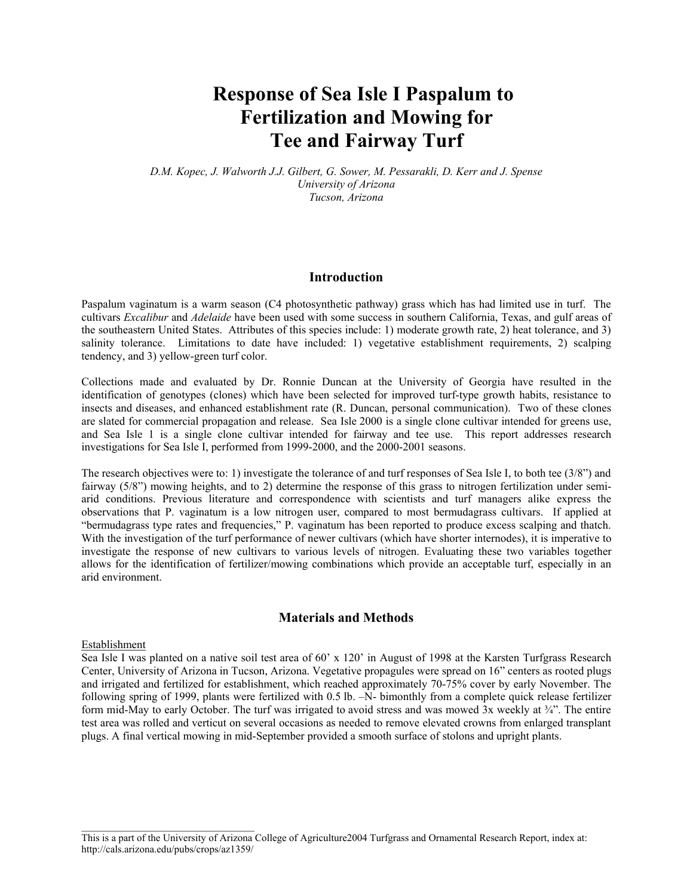# **Response of Sea Isle I Paspalum to Fertilization and Mowing for Tee and Fairway Turf**

*D.M. Kopec, J. Walworth J.J. Gilbert, G. Sower, M. Pessarakli, D. Kerr and J. Spense University of Arizona Tucson, Arizona*

#### **Introduction**

Paspalum vaginatum is a warm season (C4 photosynthetic pathway) grass which has had limited use in turf. The cultivars *Excalibur* and *Adelaide* have been used with some success in southern California, Texas, and gulf areas of the southeastern United States. Attributes of this species include: 1) moderate growth rate, 2) heat tolerance, and 3) salinity tolerance. Limitations to date have included: 1) vegetative establishment requirements, 2) scalping tendency, and 3) yellow-green turf color.

Collections made and evaluated by Dr. Ronnie Duncan at the University of Georgia have resulted in the identification of genotypes (clones) which have been selected for improved turf-type growth habits, resistance to insects and diseases, and enhanced establishment rate (R. Duncan, personal communication). Two of these clones are slated for commercial propagation and release. Sea Isle 2000 is a single clone cultivar intended for greens use, and Sea Isle 1 is a single clone cultivar intended for fairway and tee use. This report addresses research investigations for Sea Isle I, performed from 1999-2000, and the 2000-2001 seasons.

The research objectives were to: 1) investigate the tolerance of and turf responses of Sea Isle I, to both tee (3/8") and fairway (5/8") mowing heights, and to 2) determine the response of this grass to nitrogen fertilization under semiarid conditions. Previous literature and correspondence with scientists and turf managers alike express the observations that P. vaginatum is a low nitrogen user, compared to most bermudagrass cultivars. If applied at "bermudagrass type rates and frequencies," P. vaginatum has been reported to produce excess scalping and thatch. With the investigation of the turf performance of newer cultivars (which have shorter internodes), it is imperative to investigate the response of new cultivars to various levels of nitrogen. Evaluating these two variables together allows for the identification of fertilizer/mowing combinations which provide an acceptable turf, especially in an arid environment.

#### **Materials and Methods**

#### Establishment

Sea Isle I was planted on a native soil test area of 60' x 120' in August of 1998 at the Karsten Turfgrass Research Center, University of Arizona in Tucson, Arizona. Vegetative propagules were spread on 16" centers as rooted plugs and irrigated and fertilized for establishment, which reached approximately 70-75% cover by early November. The following spring of 1999, plants were fertilized with 0.5 lb. –N- bimonthly from a complete quick release fertilizer form mid-May to early October. The turf was irrigated to avoid stress and was mowed  $3x$  weekly at  $\frac{3}{4}$ . The entire test area was rolled and verticut on several occasions as needed to remove elevated crowns from enlarged transplant plugs. A final vertical mowing in mid-September provided a smooth surface of stolons and upright plants.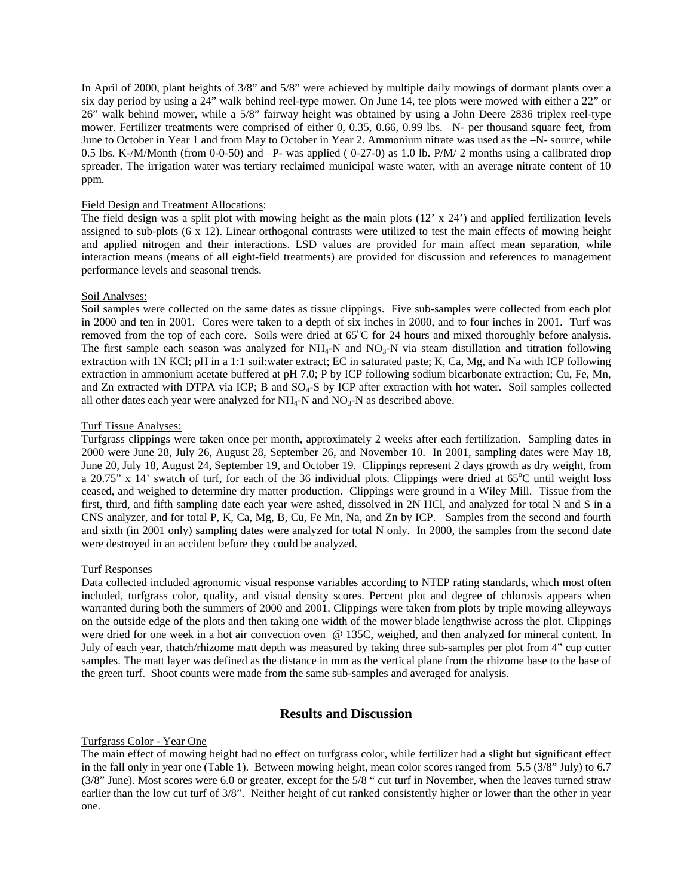In April of 2000, plant heights of 3/8" and 5/8" were achieved by multiple daily mowings of dormant plants over a six day period by using a 24" walk behind reel-type mower. On June 14, tee plots were mowed with either a 22" or 26" walk behind mower, while a 5/8" fairway height was obtained by using a John Deere 2836 triplex reel-type mower. Fertilizer treatments were comprised of either 0, 0.35, 0.66, 0.99 lbs. –N- per thousand square feet, from June to October in Year 1 and from May to October in Year 2. Ammonium nitrate was used as the –N- source, while 0.5 lbs. K-/M/Month (from 0-0-50) and -P- was applied (0-27-0) as 1.0 lb. P/M/ 2 months using a calibrated drop spreader. The irrigation water was tertiary reclaimed municipal waste water, with an average nitrate content of 10 ppm.

#### Field Design and Treatment Allocations:

The field design was a split plot with mowing height as the main plots  $(12' \times 24')$  and applied fertilization levels assigned to sub-plots  $(6 \times 12)$ . Linear orthogonal contrasts were utilized to test the main effects of mowing height and applied nitrogen and their interactions. LSD values are provided for main affect mean separation, while interaction means (means of all eight-field treatments) are provided for discussion and references to management performance levels and seasonal trends.

#### Soil Analyses:

Soil samples were collected on the same dates as tissue clippings. Five sub-samples were collected from each plot in 2000 and ten in 2001. Cores were taken to a depth of six inches in 2000, and to four inches in 2001. Turf was removed from the top of each core. Soils were dried at 65°C for 24 hours and mixed thoroughly before analysis. The first sample each season was analyzed for  $NH_4-N$  and  $NO_3-N$  via steam distillation and titration following extraction with 1N KCl; pH in a 1:1 soil:water extract; EC in saturated paste; K, Ca, Mg, and Na with ICP following extraction in ammonium acetate buffered at pH 7.0; P by ICP following sodium bicarbonate extraction; Cu, Fe, Mn, and Zn extracted with DTPA via ICP; B and SO4-S by ICP after extraction with hot water. Soil samples collected all other dates each year were analyzed for  $NH_4$ -N and  $NO_3$ -N as described above.

#### Turf Tissue Analyses:

Turfgrass clippings were taken once per month, approximately 2 weeks after each fertilization. Sampling dates in 2000 were June 28, July 26, August 28, September 26, and November 10. In 2001, sampling dates were May 18, June 20, July 18, August 24, September 19, and October 19. Clippings represent 2 days growth as dry weight, from a 20.75" x 14' swatch of turf, for each of the 36 individual plots. Clippings were dried at 65°C until weight loss ceased, and weighed to determine dry matter production. Clippings were ground in a Wiley Mill. Tissue from the first, third, and fifth sampling date each year were ashed, dissolved in 2N HCl, and analyzed for total N and S in a CNS analyzer, and for total P, K, Ca, Mg, B, Cu, Fe Mn, Na, and Zn by ICP. Samples from the second and fourth and sixth (in 2001 only) sampling dates were analyzed for total N only. In 2000, the samples from the second date were destroyed in an accident before they could be analyzed.

#### Turf Responses

Data collected included agronomic visual response variables according to NTEP rating standards, which most often included, turfgrass color, quality, and visual density scores. Percent plot and degree of chlorosis appears when warranted during both the summers of 2000 and 2001. Clippings were taken from plots by triple mowing alleyways on the outside edge of the plots and then taking one width of the mower blade lengthwise across the plot. Clippings were dried for one week in a hot air convection oven @ 135C, weighed, and then analyzed for mineral content. In July of each year, thatch/rhizome matt depth was measured by taking three sub-samples per plot from 4" cup cutter samples. The matt layer was defined as the distance in mm as the vertical plane from the rhizome base to the base of the green turf. Shoot counts were made from the same sub-samples and averaged for analysis.

#### **Results and Discussion**

#### Turfgrass Color - Year One

The main effect of mowing height had no effect on turfgrass color, while fertilizer had a slight but significant effect in the fall only in year one (Table 1). Between mowing height, mean color scores ranged from 5.5 (3/8" July) to 6.7 (3/8" June). Most scores were 6.0 or greater, except for the 5/8 " cut turf in November, when the leaves turned straw earlier than the low cut turf of 3/8". Neither height of cut ranked consistently higher or lower than the other in year one.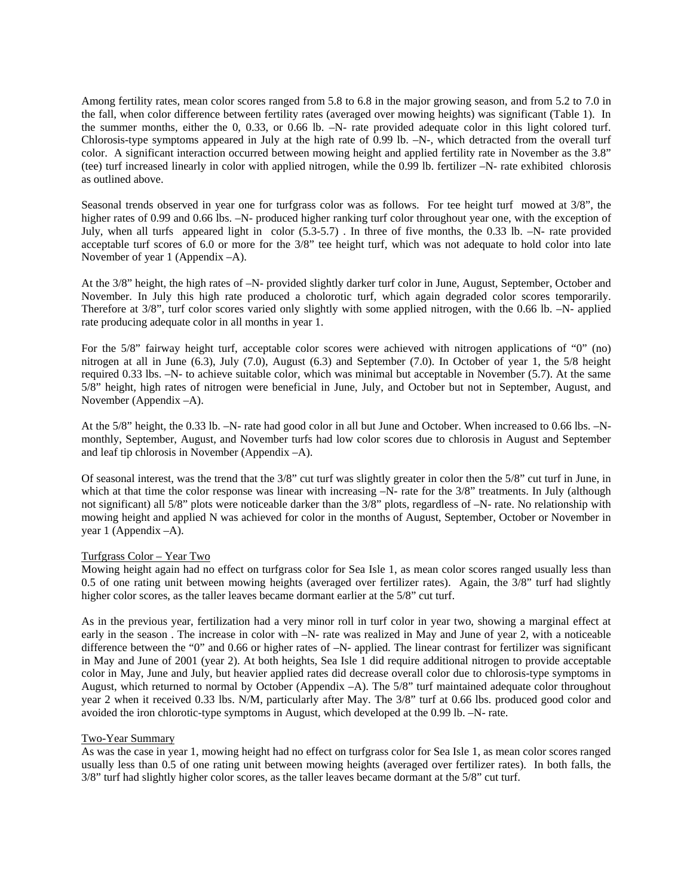Among fertility rates, mean color scores ranged from 5.8 to 6.8 in the major growing season, and from 5.2 to 7.0 in the fall, when color difference between fertility rates (averaged over mowing heights) was significant (Table 1). In the summer months, either the 0, 0.33, or 0.66 lb. –N- rate provided adequate color in this light colored turf. Chlorosis-type symptoms appeared in July at the high rate of 0.99 lb. –N-, which detracted from the overall turf color. A significant interaction occurred between mowing height and applied fertility rate in November as the 3.8" (tee) turf increased linearly in color with applied nitrogen, while the 0.99 lb. fertilizer –N- rate exhibited chlorosis as outlined above.

Seasonal trends observed in year one for turfgrass color was as follows. For tee height turf mowed at 3/8", the higher rates of 0.99 and 0.66 lbs.  $-N$ - produced higher ranking turf color throughout year one, with the exception of July, when all turfs appeared light in color (5.3-5.7) . In three of five months, the 0.33 lb. –N- rate provided acceptable turf scores of 6.0 or more for the  $3/8$ " tee height turf, which was not adequate to hold color into late November of year 1 (Appendix –A).

At the 3/8" height, the high rates of –N- provided slightly darker turf color in June, August, September, October and November. In July this high rate produced a cholorotic turf, which again degraded color scores temporarily. Therefore at 3/8", turf color scores varied only slightly with some applied nitrogen, with the 0.66 lb. –N- applied rate producing adequate color in all months in year 1.

For the 5/8" fairway height turf, acceptable color scores were achieved with nitrogen applications of "0" (no) nitrogen at all in June (6.3), July (7.0), August (6.3) and September (7.0). In October of year 1, the 5/8 height required 0.33 lbs. –N- to achieve suitable color, which was minimal but acceptable in November (5.7). At the same 5/8" height, high rates of nitrogen were beneficial in June, July, and October but not in September, August, and November (Appendix –A).

At the 5/8" height, the 0.33 lb. –N- rate had good color in all but June and October. When increased to 0.66 lbs. –Nmonthly, September, August, and November turfs had low color scores due to chlorosis in August and September and leaf tip chlorosis in November (Appendix –A).

Of seasonal interest, was the trend that the 3/8" cut turf was slightly greater in color then the 5/8" cut turf in June, in which at that time the color response was linear with increasing  $-N$ - rate for the 3/8" treatments. In July (although not significant) all 5/8" plots were noticeable darker than the 3/8" plots, regardless of –N- rate. No relationship with mowing height and applied N was achieved for color in the months of August, September, October or November in year 1 (Appendix –A).

#### Turfgrass Color – Year Two

Mowing height again had no effect on turfgrass color for Sea Isle 1, as mean color scores ranged usually less than 0.5 of one rating unit between mowing heights (averaged over fertilizer rates). Again, the 3/8" turf had slightly higher color scores, as the taller leaves became dormant earlier at the 5/8" cut turf.

As in the previous year, fertilization had a very minor roll in turf color in year two, showing a marginal effect at early in the season . The increase in color with –N- rate was realized in May and June of year 2, with a noticeable difference between the "0" and 0.66 or higher rates of –N- applied. The linear contrast for fertilizer was significant in May and June of 2001 (year 2). At both heights, Sea Isle 1 did require additional nitrogen to provide acceptable color in May, June and July, but heavier applied rates did decrease overall color due to chlorosis-type symptoms in August, which returned to normal by October (Appendix –A). The 5/8" turf maintained adequate color throughout year 2 when it received 0.33 lbs. N/M, particularly after May. The 3/8" turf at 0.66 lbs. produced good color and avoided the iron chlorotic-type symptoms in August, which developed at the 0.99 lb. –N- rate.

#### Two-Year Summary

As was the case in year 1, mowing height had no effect on turfgrass color for Sea Isle 1, as mean color scores ranged usually less than 0.5 of one rating unit between mowing heights (averaged over fertilizer rates). In both falls, the 3/8" turf had slightly higher color scores, as the taller leaves became dormant at the 5/8" cut turf.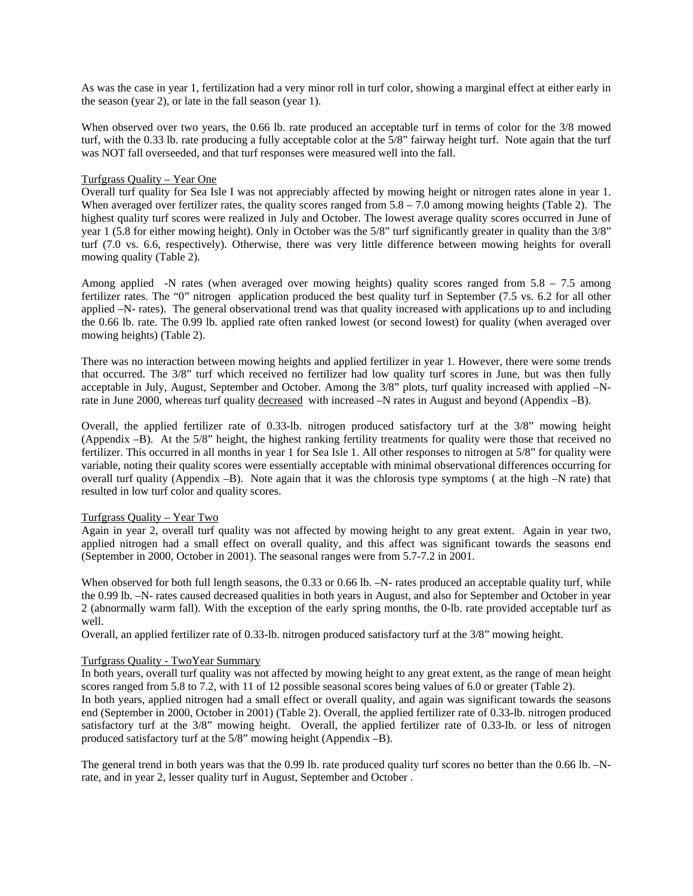As was the case in year 1, fertilization had a very minor roll in turf color, showing a marginal effect at either early in the season (year 2), or late in the fall season (year 1).

When observed over two years, the 0.66 lb. rate produced an acceptable turf in terms of color for the 3/8 mowed turf, with the 0.33 lb. rate producing a fully acceptable color at the 5/8" fairway height turf. Note again that the turf was NOT fall overseeded, and that turf responses were measured well into the fall.

#### Turfgrass Quality – Year One

Overall turf quality for Sea Isle I was not appreciably affected by mowing height or nitrogen rates alone in year 1. When averaged over fertilizer rates, the quality scores ranged from  $5.8 - 7.0$  among mowing heights (Table 2). The highest quality turf scores were realized in July and October. The lowest average quality scores occurred in June of year 1 (5.8 for either mowing height). Only in October was the 5/8" turf significantly greater in quality than the 3/8" turf (7.0 vs. 6.6, respectively). Otherwise, there was very little difference between mowing heights for overall mowing quality (Table 2).

Among applied -N rates (when averaged over mowing heights) quality scores ranged from 5.8 – 7.5 among fertilizer rates. The "0" nitrogen application produced the best quality turf in September (7.5 vs. 6.2 for all other applied –N- rates). The general observational trend was that quality increased with applications up to and including the 0.66 lb. rate. The 0.99 lb. applied rate often ranked lowest (or second lowest) for quality (when averaged over mowing heights) (Table 2).

There was no interaction between mowing heights and applied fertilizer in year 1. However, there were some trends that occurred. The 3/8" turf which received no fertilizer had low quality turf scores in June, but was then fully acceptable in July, August, September and October. Among the 3/8" plots, turf quality increased with applied –Nrate in June 2000, whereas turf quality decreased with increased –N rates in August and beyond (Appendix –B).

Overall, the applied fertilizer rate of 0.33-lb. nitrogen produced satisfactory turf at the 3/8" mowing height (Appendix –B). At the 5/8" height, the highest ranking fertility treatments for quality were those that received no fertilizer. This occurred in all months in year 1 for Sea Isle 1. All other responses to nitrogen at 5/8" for quality were variable, noting their quality scores were essentially acceptable with minimal observational differences occurring for overall turf quality (Appendix –B). Note again that it was the chlorosis type symptoms ( at the high –N rate) that resulted in low turf color and quality scores.

#### Turfgrass Quality – Year Two

Again in year 2, overall turf quality was not affected by mowing height to any great extent. Again in year two, applied nitrogen had a small effect on overall quality, and this affect was significant towards the seasons end (September in 2000, October in 2001). The seasonal ranges were from 5.7-7.2 in 2001.

When observed for both full length seasons, the 0.33 or 0.66 lb.  $-N$ - rates produced an acceptable quality turf, while the 0.99 lb. –N- rates caused decreased qualities in both years in August, and also for September and October in year 2 (abnormally warm fall). With the exception of the early spring months, the 0-lb. rate provided acceptable turf as well.

Overall, an applied fertilizer rate of 0.33-lb. nitrogen produced satisfactory turf at the 3/8" mowing height.

#### Turfgrass Quality - TwoYear Summary

In both years, overall turf quality was not affected by mowing height to any great extent, as the range of mean height scores ranged from 5.8 to 7.2, with 11 of 12 possible seasonal scores being values of 6.0 or greater (Table 2).

In both years, applied nitrogen had a small effect or overall quality, and again was significant towards the seasons end (September in 2000, October in 2001) (Table 2). Overall, the applied fertilizer rate of 0.33-lb. nitrogen produced satisfactory turf at the 3/8" mowing height. Overall, the applied fertilizer rate of 0.33-lb. or less of nitrogen produced satisfactory turf at the 5/8" mowing height (Appendix –B).

The general trend in both years was that the 0.99 lb. rate produced quality turf scores no better than the 0.66 lb.  $-N$ rate, and in year 2, lesser quality turf in August, September and October .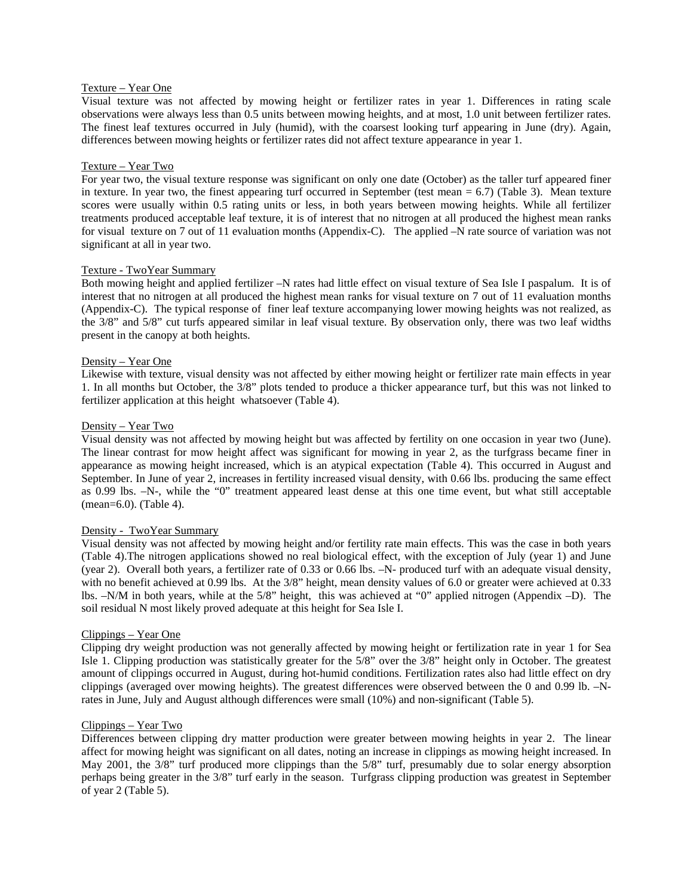#### Texture – Year One

Visual texture was not affected by mowing height or fertilizer rates in year 1. Differences in rating scale observations were always less than 0.5 units between mowing heights, and at most, 1.0 unit between fertilizer rates. The finest leaf textures occurred in July (humid), with the coarsest looking turf appearing in June (dry). Again, differences between mowing heights or fertilizer rates did not affect texture appearance in year 1.

#### Texture – Year Two

For year two, the visual texture response was significant on only one date (October) as the taller turf appeared finer in texture. In year two, the finest appearing turf occurred in September (test mean = 6.7) (Table 3). Mean texture scores were usually within 0.5 rating units or less, in both years between mowing heights. While all fertilizer treatments produced acceptable leaf texture, it is of interest that no nitrogen at all produced the highest mean ranks for visual texture on 7 out of 11 evaluation months (Appendix-C). The applied –N rate source of variation was not significant at all in year two.

#### Texture - TwoYear Summary

Both mowing height and applied fertilizer –N rates had little effect on visual texture of Sea Isle I paspalum. It is of interest that no nitrogen at all produced the highest mean ranks for visual texture on 7 out of 11 evaluation months (Appendix-C). The typical response of finer leaf texture accompanying lower mowing heights was not realized, as the 3/8" and 5/8" cut turfs appeared similar in leaf visual texture. By observation only, there was two leaf widths present in the canopy at both heights.

#### Density – Year One

Likewise with texture, visual density was not affected by either mowing height or fertilizer rate main effects in year 1. In all months but October, the 3/8" plots tended to produce a thicker appearance turf, but this was not linked to fertilizer application at this height whatsoever (Table 4).

#### Density – Year Two

Visual density was not affected by mowing height but was affected by fertility on one occasion in year two (June). The linear contrast for mow height affect was significant for mowing in year 2, as the turfgrass became finer in appearance as mowing height increased, which is an atypical expectation (Table 4). This occurred in August and September. In June of year 2, increases in fertility increased visual density, with 0.66 lbs. producing the same effect as 0.99 lbs. –N-, while the "0" treatment appeared least dense at this one time event, but what still acceptable (mean=6.0). (Table 4).

#### Density - TwoYear Summary

Visual density was not affected by mowing height and/or fertility rate main effects. This was the case in both years (Table 4).The nitrogen applications showed no real biological effect, with the exception of July (year 1) and June (year 2). Overall both years, a fertilizer rate of 0.33 or 0.66 lbs. –N- produced turf with an adequate visual density, with no benefit achieved at 0.99 lbs. At the 3/8" height, mean density values of 6.0 or greater were achieved at 0.33 lbs. –N/M in both years, while at the 5/8" height, this was achieved at "0" applied nitrogen (Appendix –D). The soil residual N most likely proved adequate at this height for Sea Isle I.

#### Clippings – Year One

Clipping dry weight production was not generally affected by mowing height or fertilization rate in year 1 for Sea Isle 1. Clipping production was statistically greater for the 5/8" over the 3/8" height only in October. The greatest amount of clippings occurred in August, during hot-humid conditions. Fertilization rates also had little effect on dry clippings (averaged over mowing heights). The greatest differences were observed between the 0 and 0.99 lb. –Nrates in June, July and August although differences were small (10%) and non-significant (Table 5).

#### Clippings – Year Two

Differences between clipping dry matter production were greater between mowing heights in year 2. The linear affect for mowing height was significant on all dates, noting an increase in clippings as mowing height increased. In May 2001, the 3/8" turf produced more clippings than the 5/8" turf, presumably due to solar energy absorption perhaps being greater in the 3/8" turf early in the season. Turfgrass clipping production was greatest in September of year 2 (Table 5).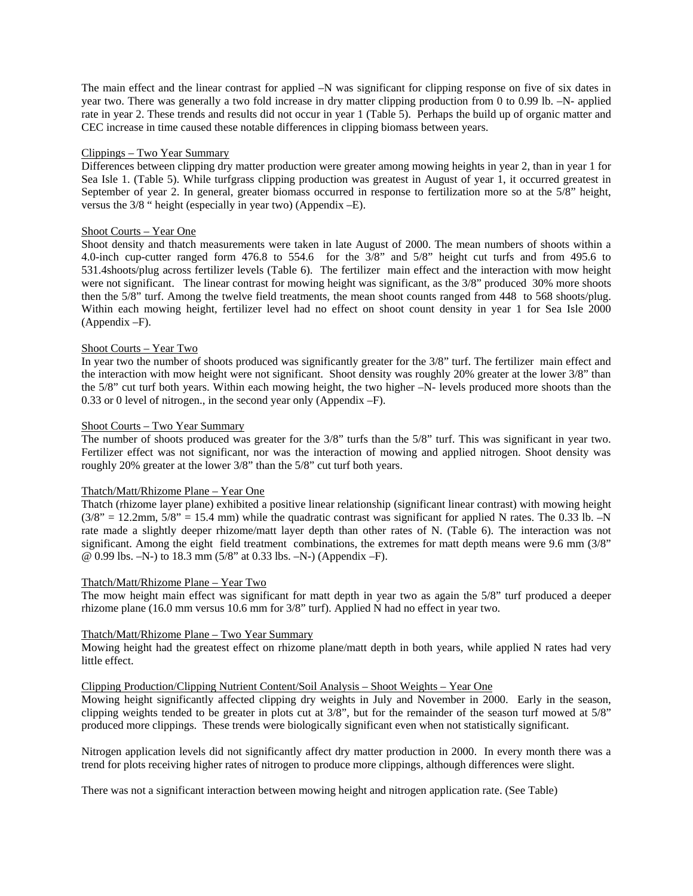The main effect and the linear contrast for applied –N was significant for clipping response on five of six dates in year two. There was generally a two fold increase in dry matter clipping production from 0 to 0.99 lb. –N- applied rate in year 2. These trends and results did not occur in year 1 (Table 5). Perhaps the build up of organic matter and CEC increase in time caused these notable differences in clipping biomass between years.

#### Clippings – Two Year Summary

Differences between clipping dry matter production were greater among mowing heights in year 2, than in year 1 for Sea Isle 1. (Table 5). While turfgrass clipping production was greatest in August of year 1, it occurred greatest in September of year 2. In general, greater biomass occurred in response to fertilization more so at the 5/8" height, versus the 3/8 " height (especially in year two) (Appendix –E).

#### Shoot Courts – Year One

Shoot density and thatch measurements were taken in late August of 2000. The mean numbers of shoots within a 4.0-inch cup-cutter ranged form 476.8 to 554.6 for the 3/8" and 5/8" height cut turfs and from 495.6 to 531.4shoots/plug across fertilizer levels (Table 6). The fertilizer main effect and the interaction with mow height were not significant. The linear contrast for mowing height was significant, as the 3/8" produced 30% more shoots then the 5/8" turf. Among the twelve field treatments, the mean shoot counts ranged from 448 to 568 shoots/plug. Within each mowing height, fertilizer level had no effect on shoot count density in year 1 for Sea Isle 2000 (Appendix –F).

#### Shoot Courts – Year Two

In year two the number of shoots produced was significantly greater for the 3/8" turf. The fertilizer main effect and the interaction with mow height were not significant. Shoot density was roughly 20% greater at the lower 3/8" than the 5/8" cut turf both years. Within each mowing height, the two higher –N- levels produced more shoots than the 0.33 or 0 level of nitrogen., in the second year only (Appendix –F).

#### Shoot Courts – Two Year Summary

The number of shoots produced was greater for the 3/8" turfs than the 5/8" turf. This was significant in year two. Fertilizer effect was not significant, nor was the interaction of mowing and applied nitrogen. Shoot density was roughly 20% greater at the lower 3/8" than the 5/8" cut turf both years.

#### Thatch/Matt/Rhizome Plane – Year One

Thatch (rhizome layer plane) exhibited a positive linear relationship (significant linear contrast) with mowing height  $(3/8)$ <sup>"</sup> = 12.2mm,  $5/8$ <sup>"</sup> = 15.4 mm) while the quadratic contrast was significant for applied N rates. The 0.33 lb.  $-N$ rate made a slightly deeper rhizome/matt layer depth than other rates of N. (Table 6). The interaction was not significant. Among the eight field treatment combinations, the extremes for matt depth means were 9.6 mm (3/8" @ 0.99 lbs. –N-) to 18.3 mm (5/8" at 0.33 lbs. –N-) (Appendix –F).

#### Thatch/Matt/Rhizome Plane – Year Two

The mow height main effect was significant for matt depth in year two as again the 5/8" turf produced a deeper rhizome plane (16.0 mm versus 10.6 mm for 3/8" turf). Applied N had no effect in year two.

#### Thatch/Matt/Rhizome Plane – Two Year Summary

Mowing height had the greatest effect on rhizome plane/matt depth in both years, while applied N rates had very little effect.

## Clipping Production/Clipping Nutrient Content/Soil Analysis – Shoot Weights – Year One

Mowing height significantly affected clipping dry weights in July and November in 2000. Early in the season, clipping weights tended to be greater in plots cut at 3/8", but for the remainder of the season turf mowed at 5/8" produced more clippings. These trends were biologically significant even when not statistically significant.

Nitrogen application levels did not significantly affect dry matter production in 2000. In every month there was a trend for plots receiving higher rates of nitrogen to produce more clippings, although differences were slight.

There was not a significant interaction between mowing height and nitrogen application rate. (See Table)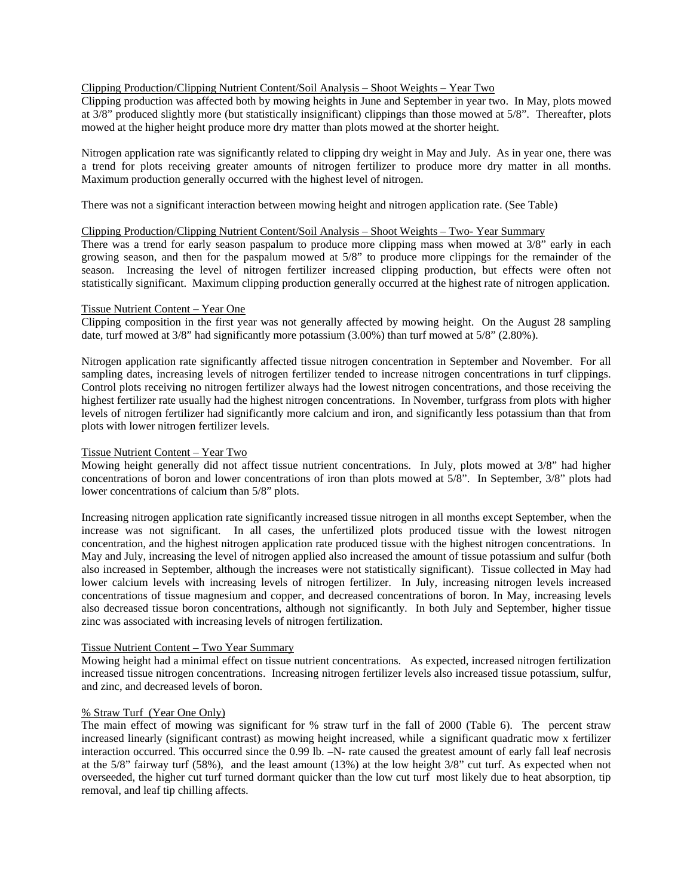#### Clipping Production/Clipping Nutrient Content/Soil Analysis – Shoot Weights – Year Two

Clipping production was affected both by mowing heights in June and September in year two. In May, plots mowed at 3/8" produced slightly more (but statistically insignificant) clippings than those mowed at 5/8". Thereafter, plots mowed at the higher height produce more dry matter than plots mowed at the shorter height.

Nitrogen application rate was significantly related to clipping dry weight in May and July. As in year one, there was a trend for plots receiving greater amounts of nitrogen fertilizer to produce more dry matter in all months. Maximum production generally occurred with the highest level of nitrogen.

There was not a significant interaction between mowing height and nitrogen application rate. (See Table)

#### Clipping Production/Clipping Nutrient Content/Soil Analysis – Shoot Weights – Two- Year Summary

There was a trend for early season paspalum to produce more clipping mass when mowed at 3/8" early in each growing season, and then for the paspalum mowed at 5/8" to produce more clippings for the remainder of the season. Increasing the level of nitrogen fertilizer increased clipping production, but effects were often not statistically significant. Maximum clipping production generally occurred at the highest rate of nitrogen application.

#### Tissue Nutrient Content – Year One

Clipping composition in the first year was not generally affected by mowing height. On the August 28 sampling date, turf mowed at 3/8" had significantly more potassium (3.00%) than turf mowed at 5/8" (2.80%).

Nitrogen application rate significantly affected tissue nitrogen concentration in September and November. For all sampling dates, increasing levels of nitrogen fertilizer tended to increase nitrogen concentrations in turf clippings. Control plots receiving no nitrogen fertilizer always had the lowest nitrogen concentrations, and those receiving the highest fertilizer rate usually had the highest nitrogen concentrations. In November, turfgrass from plots with higher levels of nitrogen fertilizer had significantly more calcium and iron, and significantly less potassium than that from plots with lower nitrogen fertilizer levels.

#### Tissue Nutrient Content – Year Two

Mowing height generally did not affect tissue nutrient concentrations. In July, plots mowed at 3/8" had higher concentrations of boron and lower concentrations of iron than plots mowed at 5/8". In September, 3/8" plots had lower concentrations of calcium than 5/8" plots.

Increasing nitrogen application rate significantly increased tissue nitrogen in all months except September, when the increase was not significant. In all cases, the unfertilized plots produced tissue with the lowest nitrogen concentration, and the highest nitrogen application rate produced tissue with the highest nitrogen concentrations. In May and July, increasing the level of nitrogen applied also increased the amount of tissue potassium and sulfur (both also increased in September, although the increases were not statistically significant). Tissue collected in May had lower calcium levels with increasing levels of nitrogen fertilizer. In July, increasing nitrogen levels increased concentrations of tissue magnesium and copper, and decreased concentrations of boron. In May, increasing levels also decreased tissue boron concentrations, although not significantly. In both July and September, higher tissue zinc was associated with increasing levels of nitrogen fertilization.

#### Tissue Nutrient Content – Two Year Summary

Mowing height had a minimal effect on tissue nutrient concentrations. As expected, increased nitrogen fertilization increased tissue nitrogen concentrations. Increasing nitrogen fertilizer levels also increased tissue potassium, sulfur, and zinc, and decreased levels of boron.

#### % Straw Turf (Year One Only)

The main effect of mowing was significant for % straw turf in the fall of 2000 (Table 6). The percent straw increased linearly (significant contrast) as mowing height increased, while a significant quadratic mow x fertilizer interaction occurred. This occurred since the 0.99 lb. –N- rate caused the greatest amount of early fall leaf necrosis at the 5/8" fairway turf (58%), and the least amount (13%) at the low height 3/8" cut turf. As expected when not overseeded, the higher cut turf turned dormant quicker than the low cut turf most likely due to heat absorption, tip removal, and leaf tip chilling affects.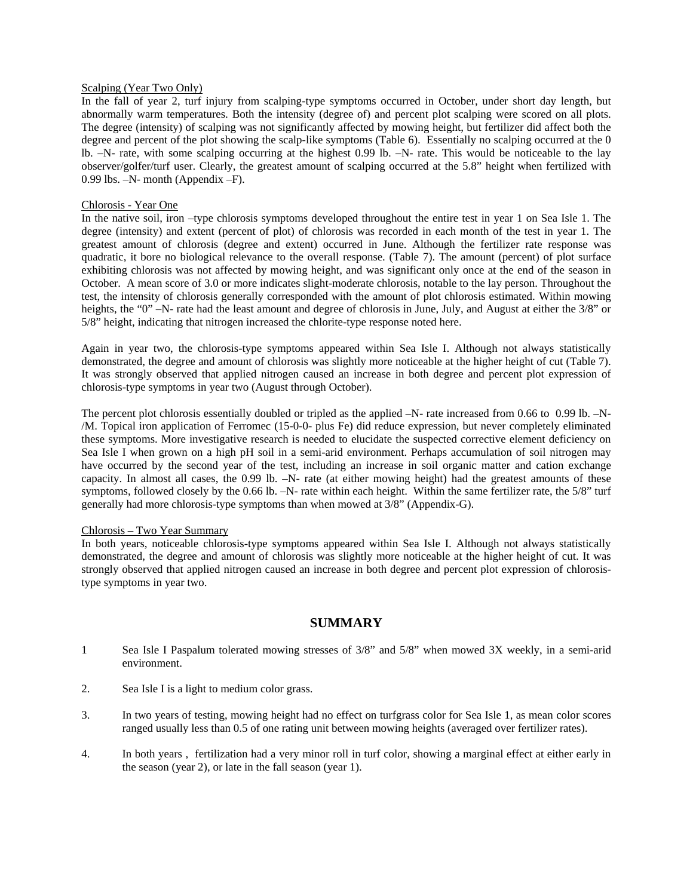#### Scalping (Year Two Only)

In the fall of year 2, turf injury from scalping-type symptoms occurred in October, under short day length, but abnormally warm temperatures. Both the intensity (degree of) and percent plot scalping were scored on all plots. The degree (intensity) of scalping was not significantly affected by mowing height, but fertilizer did affect both the degree and percent of the plot showing the scalp-like symptoms (Table 6). Essentially no scalping occurred at the 0 lb. –N- rate, with some scalping occurring at the highest 0.99 lb. –N- rate. This would be noticeable to the lay observer/golfer/turf user. Clearly, the greatest amount of scalping occurred at the 5.8" height when fertilized with 0.99 lbs. –N- month (Appendix –F).

#### Chlorosis - Year One

In the native soil, iron –type chlorosis symptoms developed throughout the entire test in year 1 on Sea Isle 1. The degree (intensity) and extent (percent of plot) of chlorosis was recorded in each month of the test in year 1. The greatest amount of chlorosis (degree and extent) occurred in June. Although the fertilizer rate response was quadratic, it bore no biological relevance to the overall response. (Table 7). The amount (percent) of plot surface exhibiting chlorosis was not affected by mowing height, and was significant only once at the end of the season in October. A mean score of 3.0 or more indicates slight-moderate chlorosis, notable to the lay person. Throughout the test, the intensity of chlorosis generally corresponded with the amount of plot chlorosis estimated. Within mowing heights, the "0" –N- rate had the least amount and degree of chlorosis in June, July, and August at either the 3/8" or 5/8" height, indicating that nitrogen increased the chlorite-type response noted here.

Again in year two, the chlorosis-type symptoms appeared within Sea Isle I. Although not always statistically demonstrated, the degree and amount of chlorosis was slightly more noticeable at the higher height of cut (Table 7). It was strongly observed that applied nitrogen caused an increase in both degree and percent plot expression of chlorosis-type symptoms in year two (August through October).

The percent plot chlorosis essentially doubled or tripled as the applied  $-N$ - rate increased from 0.66 to 0.99 lb.  $-N$ -/M. Topical iron application of Ferromec (15-0-0- plus Fe) did reduce expression, but never completely eliminated these symptoms. More investigative research is needed to elucidate the suspected corrective element deficiency on Sea Isle I when grown on a high pH soil in a semi-arid environment. Perhaps accumulation of soil nitrogen may have occurred by the second year of the test, including an increase in soil organic matter and cation exchange capacity. In almost all cases, the 0.99 lb. –N- rate (at either mowing height) had the greatest amounts of these symptoms, followed closely by the 0.66 lb. –N- rate within each height. Within the same fertilizer rate, the 5/8" turf generally had more chlorosis-type symptoms than when mowed at 3/8" (Appendix-G).

#### Chlorosis – Two Year Summary

In both years, noticeable chlorosis-type symptoms appeared within Sea Isle I. Although not always statistically demonstrated, the degree and amount of chlorosis was slightly more noticeable at the higher height of cut. It was strongly observed that applied nitrogen caused an increase in both degree and percent plot expression of chlorosistype symptoms in year two.

### **SUMMARY**

- 1 Sea Isle I Paspalum tolerated mowing stresses of 3/8" and 5/8" when mowed 3X weekly, in a semi-arid environment.
- 2. Sea Isle I is a light to medium color grass.
- 3. In two years of testing, mowing height had no effect on turfgrass color for Sea Isle 1, as mean color scores ranged usually less than 0.5 of one rating unit between mowing heights (averaged over fertilizer rates).
- 4. In both years , fertilization had a very minor roll in turf color, showing a marginal effect at either early in the season (year 2), or late in the fall season (year 1).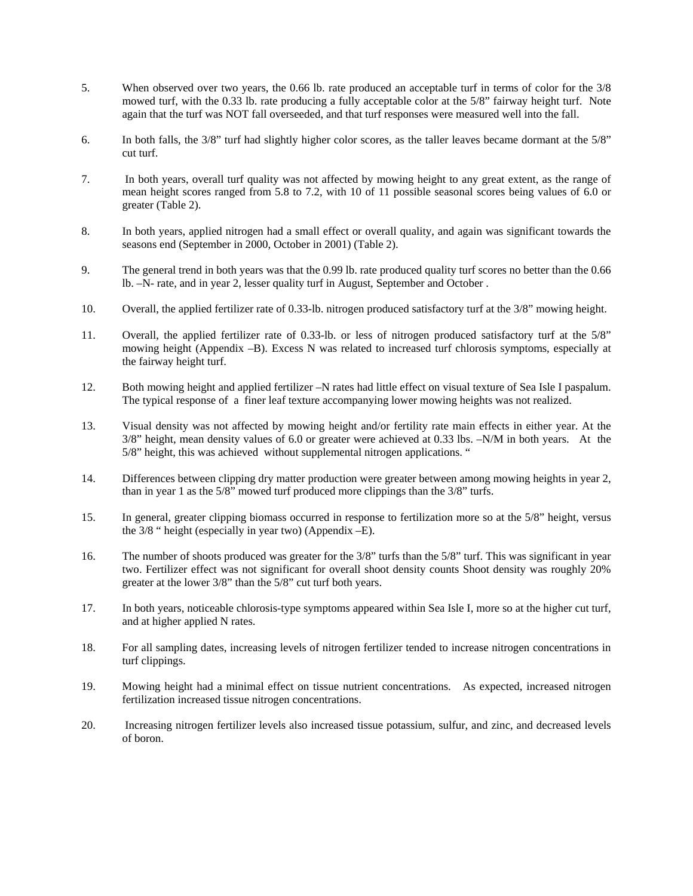- 5. When observed over two years, the 0.66 lb. rate produced an acceptable turf in terms of color for the 3/8 mowed turf, with the 0.33 lb. rate producing a fully acceptable color at the 5/8" fairway height turf. Note again that the turf was NOT fall overseeded, and that turf responses were measured well into the fall.
- 6. In both falls, the 3/8" turf had slightly higher color scores, as the taller leaves became dormant at the 5/8" cut turf.
- 7. In both years, overall turf quality was not affected by mowing height to any great extent, as the range of mean height scores ranged from 5.8 to 7.2, with 10 of 11 possible seasonal scores being values of 6.0 or greater (Table 2).
- 8. In both years, applied nitrogen had a small effect or overall quality, and again was significant towards the seasons end (September in 2000, October in 2001) (Table 2).
- 9. The general trend in both years was that the 0.99 lb. rate produced quality turf scores no better than the 0.66 lb. –N- rate, and in year 2, lesser quality turf in August, September and October .
- 10. Overall, the applied fertilizer rate of 0.33-lb. nitrogen produced satisfactory turf at the 3/8" mowing height.
- 11. Overall, the applied fertilizer rate of 0.33-lb. or less of nitrogen produced satisfactory turf at the 5/8" mowing height (Appendix –B). Excess N was related to increased turf chlorosis symptoms, especially at the fairway height turf.
- 12. Both mowing height and applied fertilizer –N rates had little effect on visual texture of Sea Isle I paspalum. The typical response of a finer leaf texture accompanying lower mowing heights was not realized.
- 13. Visual density was not affected by mowing height and/or fertility rate main effects in either year. At the 3/8" height, mean density values of 6.0 or greater were achieved at 0.33 lbs. –N/M in both years. At the 5/8" height, this was achieved without supplemental nitrogen applications. "
- 14. Differences between clipping dry matter production were greater between among mowing heights in year 2, than in year 1 as the 5/8" mowed turf produced more clippings than the 3/8" turfs.
- 15. In general, greater clipping biomass occurred in response to fertilization more so at the 5/8" height, versus the 3/8 " height (especially in year two) (Appendix –E).
- 16. The number of shoots produced was greater for the 3/8" turfs than the 5/8" turf. This was significant in year two. Fertilizer effect was not significant for overall shoot density counts Shoot density was roughly 20% greater at the lower 3/8" than the 5/8" cut turf both years.
- 17. In both years, noticeable chlorosis-type symptoms appeared within Sea Isle I, more so at the higher cut turf, and at higher applied N rates.
- 18. For all sampling dates, increasing levels of nitrogen fertilizer tended to increase nitrogen concentrations in turf clippings.
- 19. Mowing height had a minimal effect on tissue nutrient concentrations. As expected, increased nitrogen fertilization increased tissue nitrogen concentrations.
- 20. Increasing nitrogen fertilizer levels also increased tissue potassium, sulfur, and zinc, and decreased levels of boron.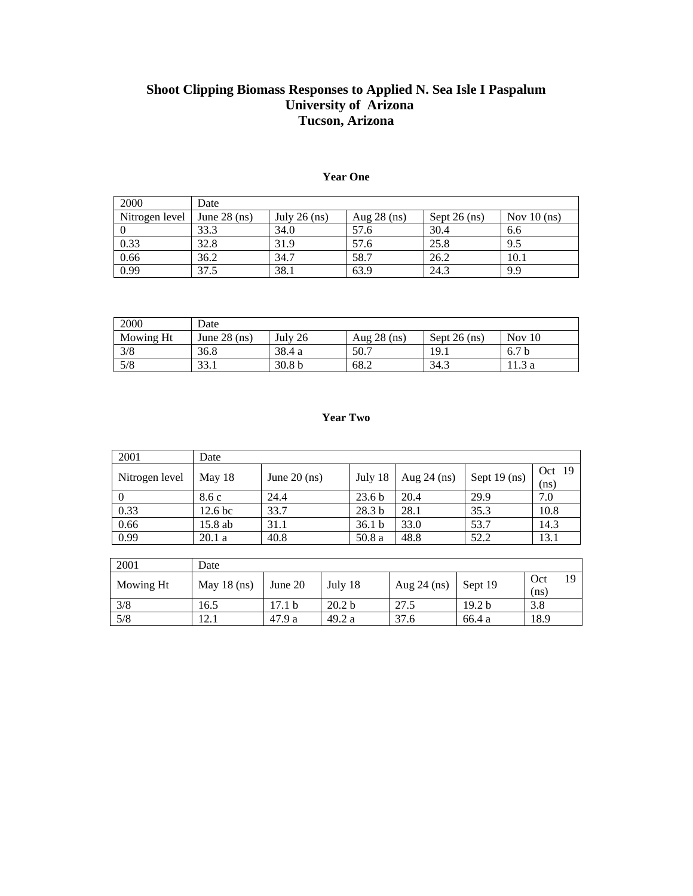## **Shoot Clipping Biomass Responses to Applied N. Sea Isle I Paspalum University of Arizona Tucson, Arizona**

| 2000           | Date           |                |               |                |               |
|----------------|----------------|----------------|---------------|----------------|---------------|
| Nitrogen level | June $28$ (ns) | July 26 $(ns)$ | Aug $28$ (ns) | Sept $26$ (ns) | Nov $10$ (ns) |
|                | 33.3           | 34.0           | 57.6          | 30.4           | 6.6           |
| 0.33           | 32.8           | 31.9           | 57.6          | 25.8           | 9.5           |
| 0.66           | 36.2           | 34.7           | 58.7          | 26.2           | 10.1          |
| 0.99           | 37.5           | 38.1           | 63.9          | 24.3           | 9.9           |

#### **Year One**

| 2000      | Date           |                   |               |                |                  |  |  |  |  |  |
|-----------|----------------|-------------------|---------------|----------------|------------------|--|--|--|--|--|
| Mowing Ht | June $28$ (ns) | July $26$         | Aug $28$ (ns) | Sept $26$ (ns) | Nov $10$         |  |  |  |  |  |
| 3/8       | 36.8           | 38.4 a            | 50.7          | 19.1           | 6.7 <sub>b</sub> |  |  |  |  |  |
| 5/8       | 33.1           | 30.8 <sub>b</sub> | 68.2          | 34.3           |                  |  |  |  |  |  |

### **Year Two**

| 2001           | Date               |                |                   |               |                |                  |
|----------------|--------------------|----------------|-------------------|---------------|----------------|------------------|
| Nitrogen level | May 18             | June $20$ (ns) | July 18           | Aug $24$ (ns) | Sept $19$ (ns) | Oct $19$<br>(ns) |
|                | 8.6 c              | 24.4           | 23.6 <sub>b</sub> | 20.4          | 29.9           | 7.0              |
| 0.33           | 12.6 <sub>bc</sub> | 33.7           | 28.3 <sub>b</sub> | 28.1          | 35.3           | 10.8             |
| 0.66           | $15.8$ ab          | 31.1           | 36.1 <sub>b</sub> | 33.0          | 53.7           | 14.3             |
| 0.99           | 20.1a              | 40.8           | 50.8 a            | 48.8          | 52.2           | 13.1             |

| 2001      | Date          |                   |                   |               |                   |             |    |  |  |  |  |  |
|-----------|---------------|-------------------|-------------------|---------------|-------------------|-------------|----|--|--|--|--|--|
| Mowing Ht | May $18$ (ns) | June 20           | July 18           | Aug $24$ (ns) | Sept 19           | Oct<br>(ns) | 19 |  |  |  |  |  |
| 3/8       | 16.5          | 17.1 <sub>b</sub> | 20.2 <sub>b</sub> | 27.5          | 19.2 <sub>b</sub> | 3.8         |    |  |  |  |  |  |
| 5/8       | !2.1          | 47.9 a            | 49.2 a            | 37.6          | 66.4 a            | 18.9        |    |  |  |  |  |  |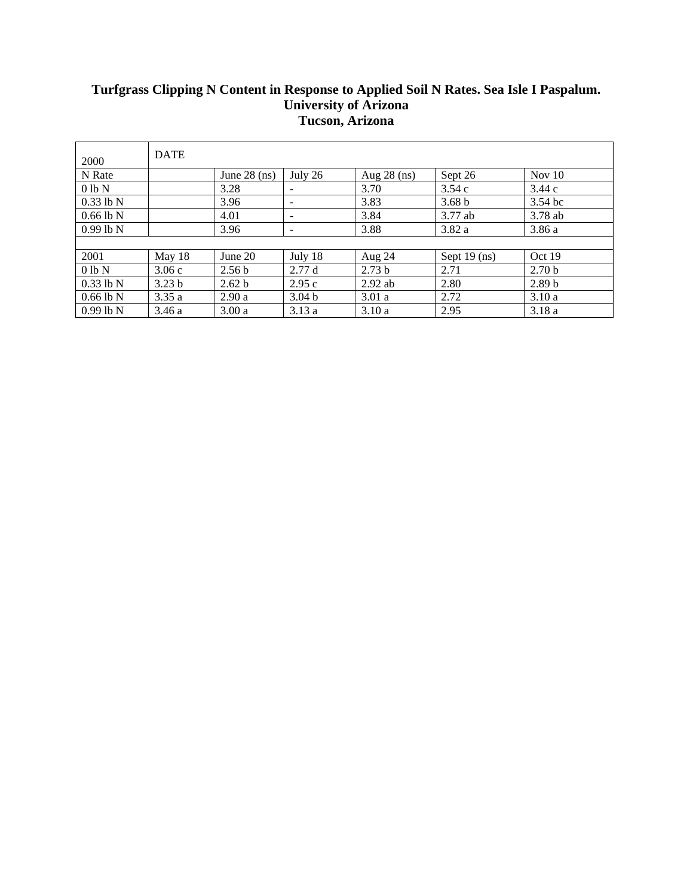## **Turfgrass Clipping N Content in Response to Applied Soil N Rates. Sea Isle I Paspalum. University of Arizona Tucson, Arizona**

| 2000        | <b>DATE</b>       |                   |                   |                   |                   |                   |
|-------------|-------------------|-------------------|-------------------|-------------------|-------------------|-------------------|
| N Rate      |                   | June $28$ (ns)    | July 26           | Aug $28$ (ns)     | Sept 26           | Nov 10            |
| $0 lb$ N    |                   | 3.28              |                   | 3.70              | 3.54c             | 3.44c             |
| $0.33$ lb N |                   | 3.96              | -                 | 3.83              | 3.68 <sub>b</sub> | $3.54$ bc         |
| $0.66$ lb N |                   | 4.01              | -                 | 3.84              | 3.77 ab           | 3.78 ab           |
| $0.99$ lb N |                   | 3.96              | -                 | 3.88              | 3.82 a            | 3.86a             |
|             |                   |                   |                   |                   |                   |                   |
| 2001        | May 18            | June 20           | July 18           | Aug 24            | Sept $19$ (ns)    | Oct 19            |
| $0 lb$ N    | 3.06c             | 2.56 <sub>b</sub> | 2.77d             | 2.73 <sub>b</sub> | 2.71              | 2.70 <sub>b</sub> |
| $0.33$ lb N | 3.23 <sub>b</sub> | 2.62 b            | 2.95c             | $2.92$ ab         | 2.80              | 2.89 <sub>b</sub> |
| $0.66$ lb N | 3.35a             | 2.90a             | 3.04 <sub>b</sub> | 3.01a             | 2.72              | 3.10a             |
| $0.99$ lb N | 3.46a             | 3.00a             | 3.13a             | 3.10a             | 2.95              | 3.18a             |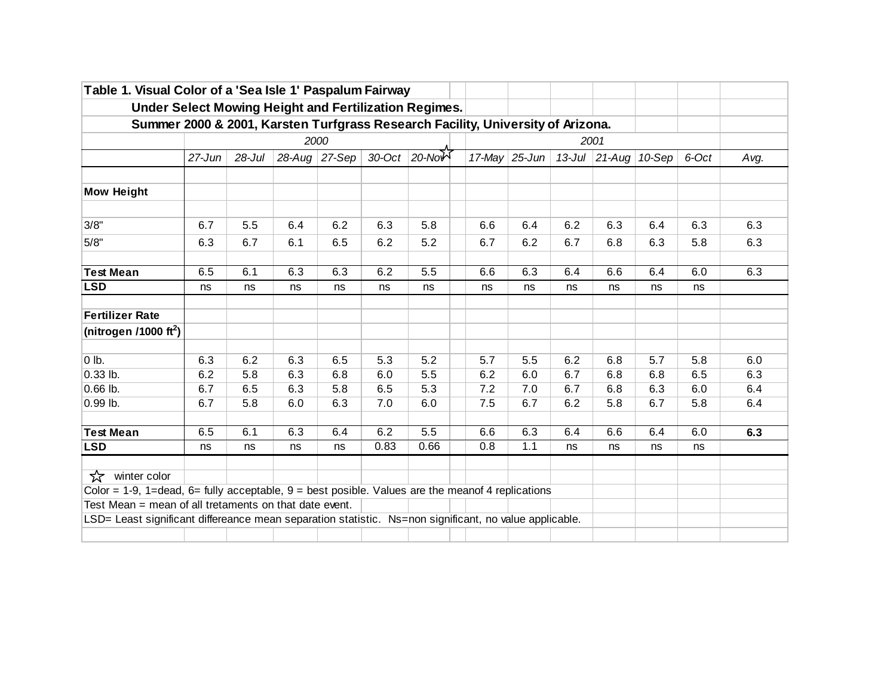| Table 1. Visual Color of a 'Sea Isle 1' Paspalum Fairway                                                                                                                           |            |            |           |        |           |                                                                                 |        |           |     |                  |        |       |      |
|------------------------------------------------------------------------------------------------------------------------------------------------------------------------------------|------------|------------|-----------|--------|-----------|---------------------------------------------------------------------------------|--------|-----------|-----|------------------|--------|-------|------|
|                                                                                                                                                                                    |            |            |           |        |           | Under Select Mowing Height and Fertilization Regimes.                           |        |           |     |                  |        |       |      |
|                                                                                                                                                                                    |            |            |           |        |           | Summer 2000 & 2001, Karsten Turfgrass Research Facility, University of Arizona. |        |           |     |                  |        |       |      |
|                                                                                                                                                                                    |            |            |           | 2000   |           |                                                                                 |        |           |     | 2001             |        |       |      |
|                                                                                                                                                                                    | $27 - Jun$ | $28 -$ Jul | $28$ -Aug | 27-Sep | $30$ -Oct | $20 - NoW$                                                                      | 17-May | $25$ -Jun |     | 13-Jul $21$ -Aug | 10-Sep | 6-Oct | Avg. |
| <b>Mow Height</b>                                                                                                                                                                  |            |            |           |        |           |                                                                                 |        |           |     |                  |        |       |      |
|                                                                                                                                                                                    |            |            |           |        |           |                                                                                 |        |           |     |                  |        |       |      |
| 3/8"                                                                                                                                                                               | 6.7        | 5.5        | 6.4       | 6.2    | 6.3       | 5.8                                                                             | 6.6    | 6.4       | 6.2 | 6.3              | 6.4    | 6.3   | 6.3  |
| 5/8"                                                                                                                                                                               | 6.3        | 6.7        | 6.1       | 6.5    | 6.2       | 5.2                                                                             | 6.7    | 6.2       | 6.7 | 6.8              | 6.3    | 5.8   | 6.3  |
| <b>Test Mean</b>                                                                                                                                                                   | 6.5        | 6.1        | 6.3       | 6.3    | 6.2       | 5.5                                                                             | 6.6    | 6.3       | 6.4 | 6.6              | 6.4    | 6.0   | 6.3  |
| <b>LSD</b>                                                                                                                                                                         | ns         | ns         | ns        | ns     | ns        | ns                                                                              | ns     | ns        | ns  | ns               | ns     | ns    |      |
| <b>Fertilizer Rate</b>                                                                                                                                                             |            |            |           |        |           |                                                                                 |        |           |     |                  |        |       |      |
| (nitrogen /1000 ft <sup>2</sup> )                                                                                                                                                  |            |            |           |        |           |                                                                                 |        |           |     |                  |        |       |      |
| $0$ lb.                                                                                                                                                                            | 6.3        | 6.2        | 6.3       | 6.5    | 5.3       | 5.2                                                                             | 5.7    | 5.5       | 6.2 | 6.8              | 5.7    | 5.8   | 6.0  |
| $0.33$ lb.                                                                                                                                                                         | 6.2        | 5.8        | 6.3       | 6.8    | 6.0       | 5.5                                                                             | 6.2    | 6.0       | 6.7 | 6.8              | 6.8    | 6.5   | 6.3  |
| $0.66$ lb.                                                                                                                                                                         | 6.7        | 6.5        | 6.3       | 5.8    | 6.5       | 5.3                                                                             | 7.2    | 7.0       | 6.7 | 6.8              | 6.3    | 6.0   | 6.4  |
| 0.99 lb.                                                                                                                                                                           | 6.7        | 5.8        | 6.0       | 6.3    | 7.0       | 6.0                                                                             | 7.5    | 6.7       | 6.2 | 5.8              | 6.7    | 5.8   | 6.4  |
| <b>Test Mean</b>                                                                                                                                                                   | 6.5        | 6.1        | 6.3       | 6.4    | 6.2       | $\overline{5.5}$                                                                | 6.6    | 6.3       | 6.4 | 6.6              | 6.4    | 6.0   | 6.3  |
| <b>LSD</b>                                                                                                                                                                         | ns         | ns         | ns        | ns     | 0.83      | 0.66                                                                            | 0.8    | 1.1       | ns  | ns               | ns     | ns    |      |
| ☆<br>winter color<br>Color = 1-9, 1=dead, 6= fully acceptable, $9 = best$ posible. Values are the mean of 4 replications<br>Test Mean = mean of all tretaments on that date event. |            |            |           |        |           |                                                                                 |        |           |     |                  |        |       |      |
| LSD= Least significant differeance mean separation statistic. Ns=non significant, no value applicable.                                                                             |            |            |           |        |           |                                                                                 |        |           |     |                  |        |       |      |
|                                                                                                                                                                                    |            |            |           |        |           |                                                                                 |        |           |     |                  |        |       |      |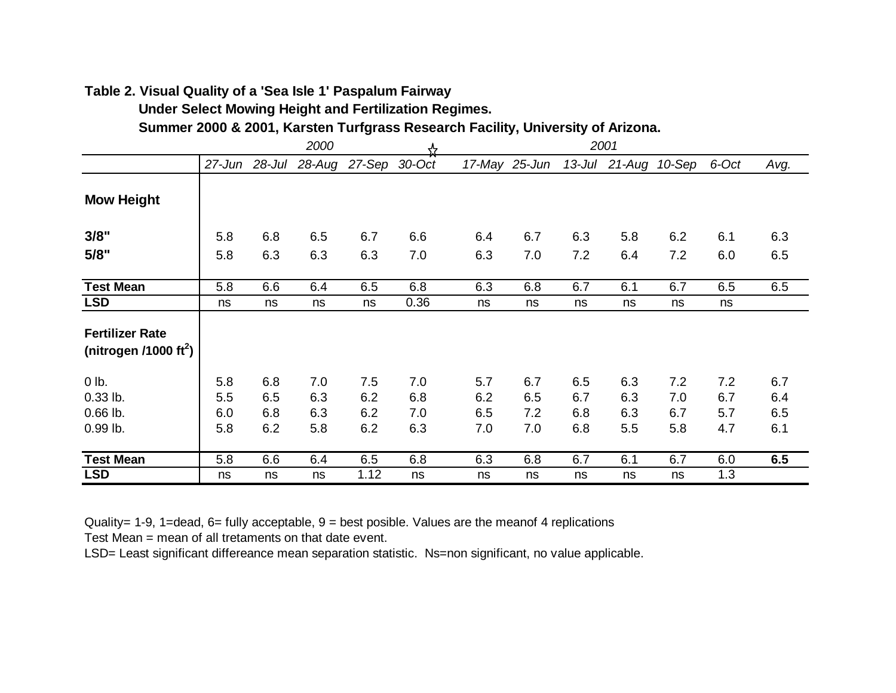## **Table 2. Visual Quality of a 'Sea Isle 1' Paspalum Fairway**

 **Under Select Mowing Height and Fertilization Regimes.**

 **Summer 2000 & 2001, Karsten Turfgrass Research Facility, University of Arizona.**

|                                                             | 2000 |     |                                    |      | ᢢ    |     |               |     | 2001                 |     |       |      |
|-------------------------------------------------------------|------|-----|------------------------------------|------|------|-----|---------------|-----|----------------------|-----|-------|------|
|                                                             |      |     | 27-Jun 28-Jul 28-Aug 27-Sep 30-Oct |      |      |     | 17-May 25-Jun |     | 13-Jul 21-Aug 10-Sep |     | 6-Oct | Avg. |
| <b>Mow Height</b>                                           |      |     |                                    |      |      |     |               |     |                      |     |       |      |
| 3/8"                                                        | 5.8  | 6.8 | 6.5                                | 6.7  | 6.6  | 6.4 | 6.7           | 6.3 | 5.8                  | 6.2 | 6.1   | 6.3  |
| 5/8"                                                        | 5.8  | 6.3 | 6.3                                | 6.3  | 7.0  | 6.3 | 7.0           | 7.2 | 6.4                  | 7.2 | 6.0   | 6.5  |
| <b>Test Mean</b>                                            | 5.8  | 6.6 | 6.4                                | 6.5  | 6.8  | 6.3 | 6.8           | 6.7 | 6.1                  | 6.7 | 6.5   | 6.5  |
| <b>LSD</b>                                                  | ns   | ns  | ns                                 | ns   | 0.36 | ns  | ns            | ns  | ns                   | ns  | ns    |      |
| <b>Fertilizer Rate</b><br>(nitrogen /1000 ft <sup>2</sup> ) |      |     |                                    |      |      |     |               |     |                      |     |       |      |
| $0$ lb.                                                     | 5.8  | 6.8 | 7.0                                | 7.5  | 7.0  | 5.7 | 6.7           | 6.5 | 6.3                  | 7.2 | 7.2   | 6.7  |
| $0.33$ lb.                                                  | 5.5  | 6.5 | 6.3                                | 6.2  | 6.8  | 6.2 | 6.5           | 6.7 | 6.3                  | 7.0 | 6.7   | 6.4  |
| $0.66$ lb.                                                  | 6.0  | 6.8 | 6.3                                | 6.2  | 7.0  | 6.5 | 7.2           | 6.8 | 6.3                  | 6.7 | 5.7   | 6.5  |
| 0.99 lb.                                                    | 5.8  | 6.2 | 5.8                                | 6.2  | 6.3  | 7.0 | 7.0           | 6.8 | 5.5                  | 5.8 | 4.7   | 6.1  |
| <b>Test Mean</b>                                            | 5.8  | 6.6 | 6.4                                | 6.5  | 6.8  | 6.3 | 6.8           | 6.7 | 6.1                  | 6.7 | 6.0   | 6.5  |
| <b>LSD</b>                                                  | ns   | ns  | ns                                 | 1.12 | ns   | ns  | ns            | ns  | ns                   | ns  | 1.3   |      |

Quality= 1-9, 1=dead, 6= fully acceptable,  $9 = best$  posible. Values are the meanof 4 replications

Test Mean = mean of all tretaments on that date event.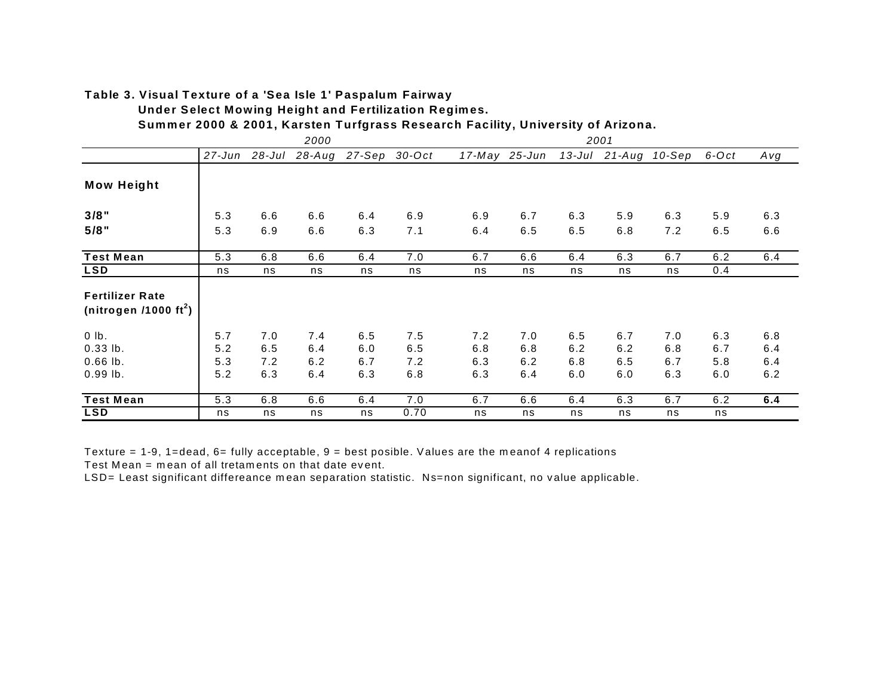# **Table 3. Visual Texture of a 'Sea Isle 1' Paspalum Fairway**

 **Under Select Mowing Height and Fertilization Regimes.**

 **Summer 2000 & 2001, Karsten Turfgrass Research Facility, University of Arizona.**

|                                                           |        |        | 2000       |               |      |     |               |     | 2001                 |     |       |     |
|-----------------------------------------------------------|--------|--------|------------|---------------|------|-----|---------------|-----|----------------------|-----|-------|-----|
|                                                           | 27-Jun | 28-Jul | $28 - Aug$ | 27-Sep 30-Oct |      |     | 17-May 25-Jun |     | 13-Jul 21-Aug 10-Sep |     | 6-Oct | Avg |
| <b>Mow Height</b>                                         |        |        |            |               |      |     |               |     |                      |     |       |     |
| $3/8$ "                                                   | 5.3    | 6.6    | 6.6        | 6.4           | 6.9  | 6.9 | 6.7           | 6.3 | 5.9                  | 6.3 | 5.9   | 6.3 |
| $5/8$ "                                                   | 5.3    | 6.9    | 6.6        | 6.3           | 7.1  | 6.4 | 6.5           | 6.5 | 6.8                  | 7.2 | 6.5   | 6.6 |
| <b>Test Mean</b>                                          | 5.3    | 6.8    | 6.6        | 6.4           | 7.0  | 6.7 | 6.6           | 6.4 | 6.3                  | 6.7 | 6.2   | 6.4 |
| <b>LSD</b>                                                | ns     | ns     | ns         | ns            | ns   | ns  | ns            | ns  | ns                   | ns  | 0.4   |     |
| <b>Fertilizer Rate</b><br>(nitrogen /1000 $\text{ft}^2$ ) |        |        |            |               |      |     |               |     |                      |     |       |     |
| $0$ lb.                                                   | 5.7    | 7.0    | 7.4        | 6.5           | 7.5  | 7.2 | 7.0           | 6.5 | 6.7                  | 7.0 | 6.3   | 6.8 |
| $0.33$ lb.                                                | 5.2    | 6.5    | 6.4        | 6.0           | 6.5  | 6.8 | 6.8           | 6.2 | 6.2                  | 6.8 | 6.7   | 6.4 |
| $0.66$ lb.                                                | 5.3    | 7.2    | 6.2        | 6.7           | 7.2  | 6.3 | 6.2           | 6.8 | 6.5                  | 6.7 | 5.8   | 6.4 |
| $0.99$ lb.                                                | 5.2    | 6.3    | 6.4        | 6.3           | 6.8  | 6.3 | 6.4           | 6.0 | 6.0                  | 6.3 | 6.0   | 6.2 |
| <b>Test Mean</b>                                          | 5.3    | 6.8    | 6.6        | 6.4           | 7.0  | 6.7 | 6.6           | 6.4 | 6.3                  | 6.7 | 6.2   | 6.4 |
| <b>LSD</b>                                                | ns     | ns     | ns         | ns            | 0.70 | ns  | ns            | ns  | ns                   | ns  | ns    |     |

Texture = 1-9, 1=dead, 6= fully acceptable, 9 = best posible. Values are the meanof 4 replications

Test Mean = mean of all tretaments on that date event.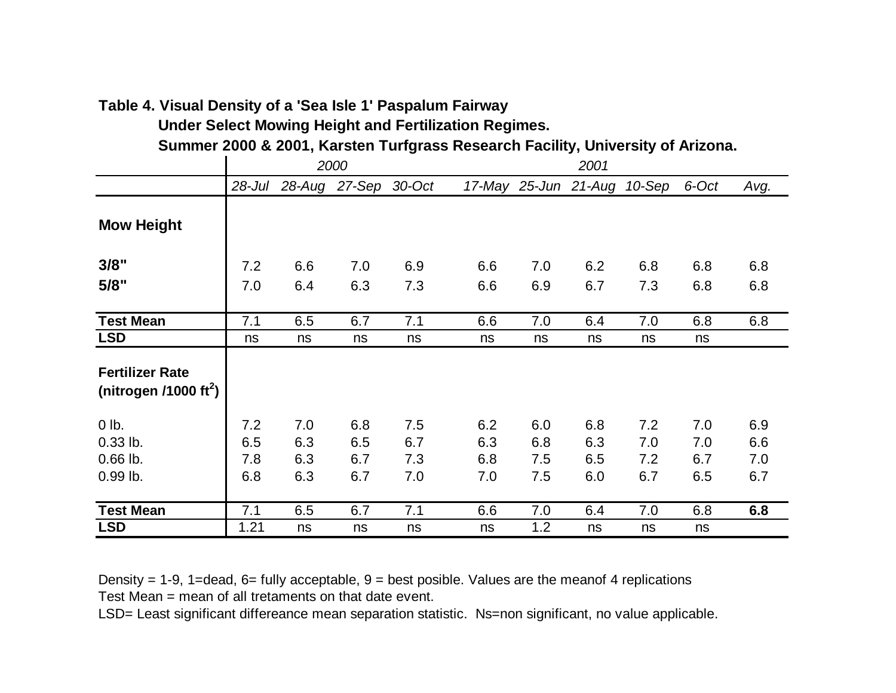# **Table 4. Visual Density of a 'Sea Isle 1' Paspalum Fairway**

 **Under Select Mowing Height and Fertilization Regimes.**

 **Summer 2000 & 2001, Karsten Turfgrass Research Facility, University of Arizona.**

|                                                             |            |     | 2000                 |     |     |     | 2001                 |        |       |      |
|-------------------------------------------------------------|------------|-----|----------------------|-----|-----|-----|----------------------|--------|-------|------|
|                                                             | $28 -$ Jul |     | 28-Aug 27-Sep 30-Oct |     |     |     | 17-May 25-Jun 21-Aug | 10-Sep | 6-Oct | Avg. |
| <b>Mow Height</b>                                           |            |     |                      |     |     |     |                      |        |       |      |
| 3/8"                                                        | 7.2        | 6.6 | 7.0                  | 6.9 | 6.6 | 7.0 | 6.2                  | 6.8    | 6.8   | 6.8  |
| 5/8"                                                        | 7.0        | 6.4 | 6.3                  | 7.3 | 6.6 | 6.9 | 6.7                  | 7.3    | 6.8   | 6.8  |
|                                                             |            |     |                      |     |     |     |                      |        |       |      |
| <b>Test Mean</b>                                            | 7.1        | 6.5 | 6.7                  | 7.1 | 6.6 | 7.0 | 6.4                  | 7.0    | 6.8   | 6.8  |
| <b>LSD</b>                                                  | ns         | ns  | ns                   | ns  | ns  | ns  | ns                   | ns     | ns    |      |
| <b>Fertilizer Rate</b><br>(nitrogen /1000 ft <sup>2</sup> ) |            |     |                      |     |     |     |                      |        |       |      |
| 0 lb.                                                       | 7.2        | 7.0 | 6.8                  | 7.5 | 6.2 | 6.0 | 6.8                  | 7.2    | 7.0   | 6.9  |
| $0.33$ lb.                                                  | 6.5        | 6.3 | 6.5                  | 6.7 | 6.3 | 6.8 | 6.3                  | 7.0    | 7.0   | 6.6  |
| $0.66$ lb.                                                  | 7.8        | 6.3 | 6.7                  | 7.3 | 6.8 | 7.5 | 6.5                  | 7.2    | 6.7   | 7.0  |
| 0.99 lb.                                                    | 6.8        | 6.3 | 6.7                  | 7.0 | 7.0 | 7.5 | 6.0                  | 6.7    | 6.5   | 6.7  |
| <b>Test Mean</b>                                            | 7.1        | 6.5 | 6.7                  | 7.1 | 6.6 | 7.0 | 6.4                  | 7.0    | 6.8   | 6.8  |
| <b>LSD</b>                                                  | 1.21       | ns  | ns                   | ns  | ns  | 1.2 | ns                   | ns     | ns    |      |

Density = 1-9, 1=dead, 6= fully acceptable,  $9$  = best posible. Values are the meanof 4 replications Test Mean = mean of all tretaments on that date event.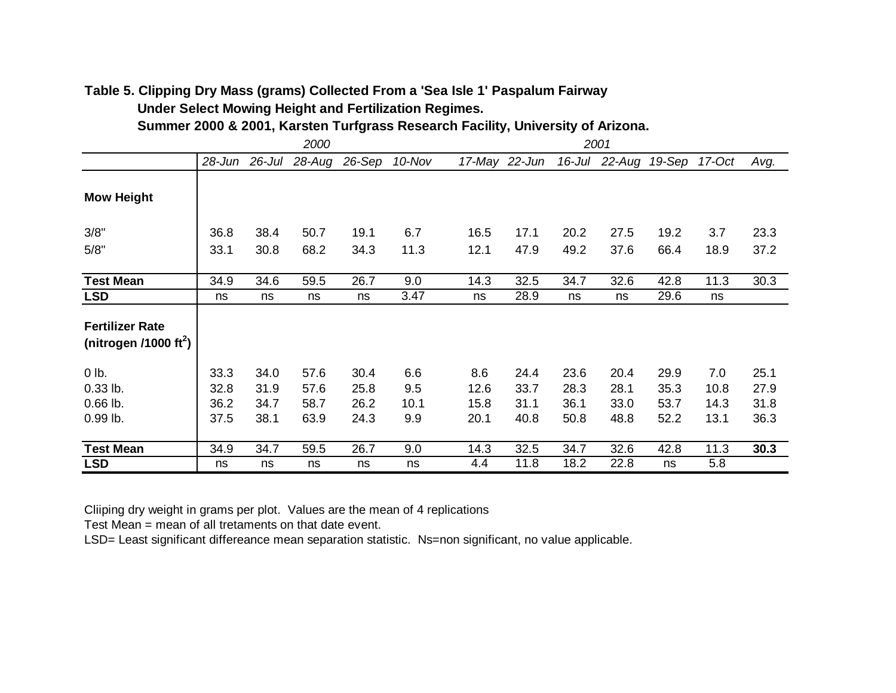# **Table 5. Clipping Dry Mass (grams) Collected From a 'Sea Isle 1' Paspalum Fairway Under Select Mowing Height and Fertilization Regimes.**

 **Summer 2000 & 2001, Karsten Turfgrass Research Facility, University of Arizona.**

|                                                             |      |      | 2000                 |        |        | 2001 |               |           |                      |      |      |      |
|-------------------------------------------------------------|------|------|----------------------|--------|--------|------|---------------|-----------|----------------------|------|------|------|
|                                                             |      |      | 28-Jun 26-Jul 28-Aug | 26-Sep | 10-Nov |      | 17-May 22-Jun | $16$ -Jul | 22-Aug 19-Sep 17-Oct |      |      | Avg. |
| <b>Mow Height</b>                                           |      |      |                      |        |        |      |               |           |                      |      |      |      |
| 3/8"                                                        | 36.8 | 38.4 | 50.7                 | 19.1   | 6.7    | 16.5 | 17.1          | 20.2      | 27.5                 | 19.2 | 3.7  | 23.3 |
| 5/8"                                                        | 33.1 | 30.8 | 68.2                 | 34.3   | 11.3   | 12.1 | 47.9          | 49.2      | 37.6                 | 66.4 | 18.9 | 37.2 |
| <b>Test Mean</b>                                            | 34.9 | 34.6 | 59.5                 | 26.7   | 9.0    | 14.3 | 32.5          | 34.7      | 32.6                 | 42.8 | 11.3 | 30.3 |
| <b>LSD</b>                                                  | ns   | ns   | ns                   | ns     | 3.47   | ns   | 28.9          | ns        | ns                   | 29.6 | ns   |      |
| <b>Fertilizer Rate</b><br>(nitrogen /1000 ft <sup>2</sup> ) |      |      |                      |        |        |      |               |           |                      |      |      |      |
| $0$ lb.                                                     | 33.3 | 34.0 | 57.6                 | 30.4   | 6.6    | 8.6  | 24.4          | 23.6      | 20.4                 | 29.9 | 7.0  | 25.1 |
| $0.33$ lb.                                                  | 32.8 | 31.9 | 57.6                 | 25.8   | 9.5    | 12.6 | 33.7          | 28.3      | 28.1                 | 35.3 | 10.8 | 27.9 |
| $0.66$ lb.                                                  | 36.2 | 34.7 | 58.7                 | 26.2   | 10.1   | 15.8 | 31.1          | 36.1      | 33.0                 | 53.7 | 14.3 | 31.8 |
| 0.99 lb.                                                    | 37.5 | 38.1 | 63.9                 | 24.3   | 9.9    | 20.1 | 40.8          | 50.8      | 48.8                 | 52.2 | 13.1 | 36.3 |
| <b>Test Mean</b>                                            | 34.9 | 34.7 | 59.5                 | 26.7   | 9.0    | 14.3 | 32.5          | 34.7      | 32.6                 | 42.8 | 11.3 | 30.3 |
| <b>LSD</b>                                                  | ns   | ns   | ns                   | ns     | ns     | 4.4  | 11.8          | 18.2      | 22.8                 | ns   | 5.8  |      |

Cliiping dry weight in grams per plot. Values are the mean of 4 replications

Test Mean = mean of all tretaments on that date event.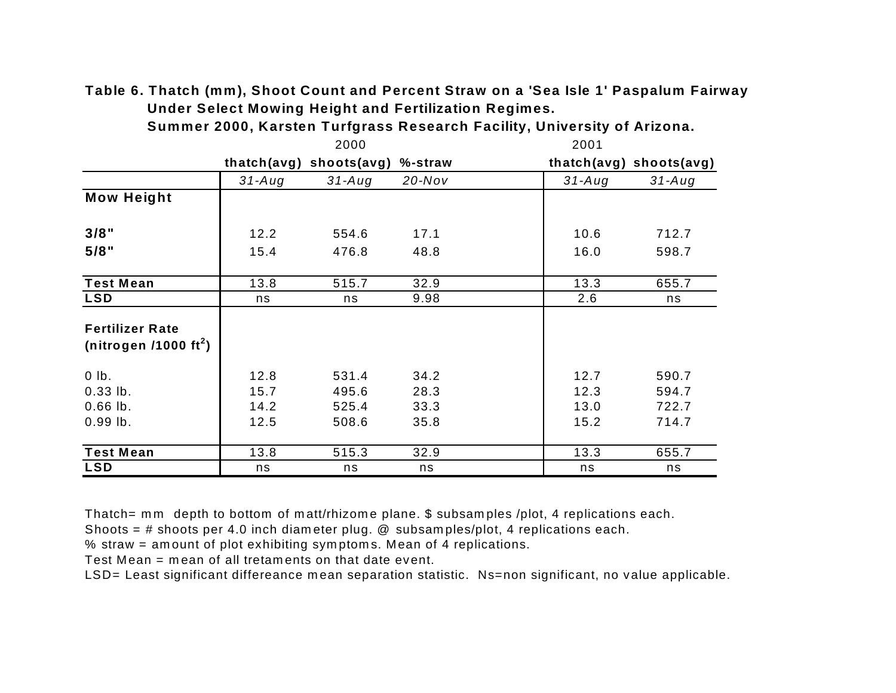**Table 6. Thatch (mm), Shoot Count and Percent Straw on a 'Sea Isle 1' Paspalum Fairway Under Select Mowing Height and Fertilization Regimes.** 

|                                                             |          | 2000                            |           | 2001     |                         |
|-------------------------------------------------------------|----------|---------------------------------|-----------|----------|-------------------------|
|                                                             |          | thatch(avg) shoots(avg) %-straw |           |          | thatch(avg) shoots(avg) |
|                                                             | $31-Aug$ | $31 - Aug$                      | $20$ -Nov | $31-Auq$ | $31 - Aug$              |
| <b>Mow Height</b>                                           |          |                                 |           |          |                         |
| 3/8"                                                        | 12.2     | 554.6                           | 17.1      | 10.6     | 712.7                   |
| 5/8"                                                        | 15.4     | 476.8                           | 48.8      | 16.0     | 598.7                   |
| <b>Test Mean</b>                                            | 13.8     | 515.7                           | 32.9      | 13.3     | 655.7                   |
| <b>LSD</b>                                                  | ns       | ns                              | 9.98      | 2.6      | ns                      |
| <b>Fertilizer Rate</b><br>(nitrogen /1000 ft <sup>2</sup> ) |          |                                 |           |          |                         |
| $0$ lb.                                                     | 12.8     | 531.4                           | 34.2      | 12.7     | 590.7                   |
| $0.33$ lb.                                                  | 15.7     | 495.6                           | 28.3      | 12.3     | 594.7                   |
| $0.66$ lb.                                                  | 14.2     | 525.4                           | 33.3      | 13.0     | 722.7                   |
| $0.99$ lb.                                                  | 12.5     | 508.6                           | 35.8      | 15.2     | 714.7                   |
| <b>Test Mean</b>                                            | 13.8     | 515.3                           | 32.9      | 13.3     | 655.7                   |
| <b>LSD</b>                                                  | ns       | ns                              | ns        | ns       | ns                      |

 **Summer 2000, Karsten Turfgrass Research Facility, University of Arizona.**

Thatch= mm depth to bottom of matt/rhizome plane. \$ subsamples /plot, 4 replications each.

Shoots = # shoots per 4.0 inch diameter plug. @ subsamples/plot, 4 replications each.

% straw = amount of plot exhibiting symptoms. Mean of 4 replications.

Test Mean = mean of all tretaments on that date event.